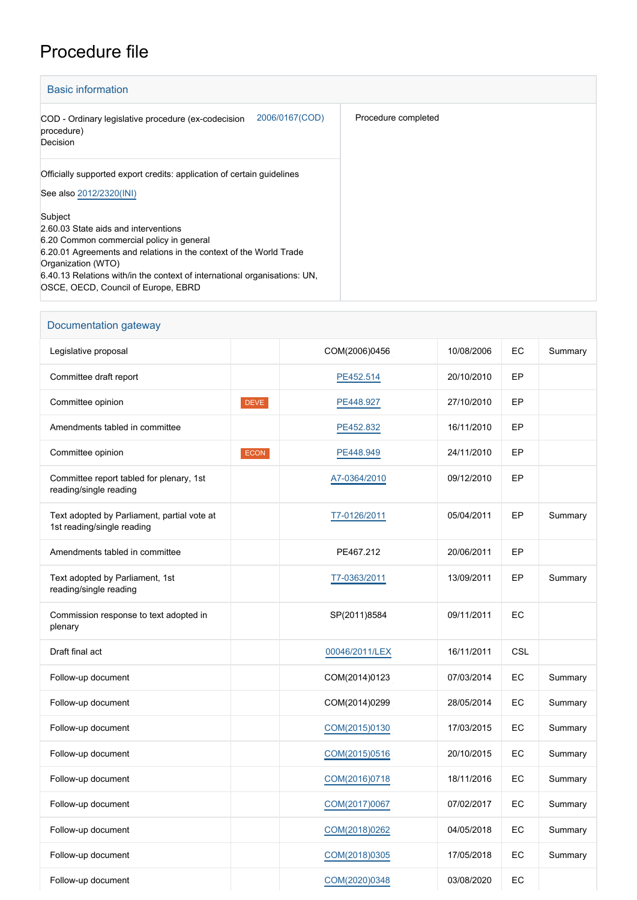## Procedure file

| <b>Basic information</b>                                                                                                                                                                                                                                                                                    |                     |
|-------------------------------------------------------------------------------------------------------------------------------------------------------------------------------------------------------------------------------------------------------------------------------------------------------------|---------------------|
| 2006/0167(COD)<br>COD - Ordinary legislative procedure (ex-codecision<br>procedure)<br>Decision                                                                                                                                                                                                             | Procedure completed |
| Officially supported export credits: application of certain guidelines<br>See also 2012/2320(INI)                                                                                                                                                                                                           |                     |
| Subject<br>2.60.03 State aids and interventions<br>6.20 Common commercial policy in general<br>6.20.01 Agreements and relations in the context of the World Trade<br>Organization (WTO)<br>6.40.13 Relations with/in the context of international organisations: UN,<br>OSCE, OECD, Council of Europe, EBRD |                     |

| Documentation gateway                                                     |             |                |            |     |         |
|---------------------------------------------------------------------------|-------------|----------------|------------|-----|---------|
| Legislative proposal                                                      |             | COM(2006)0456  | 10/08/2006 | EC  | Summary |
| Committee draft report                                                    |             | PE452.514      | 20/10/2010 | EP  |         |
| Committee opinion                                                         | <b>DEVE</b> | PE448.927      | 27/10/2010 | EP  |         |
| Amendments tabled in committee                                            |             | PE452.832      | 16/11/2010 | EP  |         |
| Committee opinion                                                         | <b>ECON</b> | PE448.949      | 24/11/2010 | EP  |         |
| Committee report tabled for plenary, 1st<br>reading/single reading        |             | A7-0364/2010   | 09/12/2010 | EP  |         |
| Text adopted by Parliament, partial vote at<br>1st reading/single reading |             | T7-0126/2011   | 05/04/2011 | EP  | Summary |
| Amendments tabled in committee                                            |             | PE467.212      | 20/06/2011 | EP  |         |
| Text adopted by Parliament, 1st<br>reading/single reading                 |             | T7-0363/2011   | 13/09/2011 | EP  | Summary |
| Commission response to text adopted in<br>plenary                         |             | SP(2011)8584   | 09/11/2011 | EC  |         |
| Draft final act                                                           |             | 00046/2011/LEX | 16/11/2011 | CSL |         |
| Follow-up document                                                        |             | COM(2014)0123  | 07/03/2014 | EC  | Summary |
| Follow-up document                                                        |             | COM(2014)0299  | 28/05/2014 | EC  | Summary |
| Follow-up document                                                        |             | COM(2015)0130  | 17/03/2015 | EC  | Summary |
| Follow-up document                                                        |             | COM(2015)0516  | 20/10/2015 | EC  | Summary |
| Follow-up document                                                        |             | COM(2016)0718  | 18/11/2016 | EC  | Summary |
| Follow-up document                                                        |             | COM(2017)0067  | 07/02/2017 | EC  | Summary |
| Follow-up document                                                        |             | COM(2018)0262  | 04/05/2018 | EC  | Summary |
| Follow-up document                                                        |             | COM(2018)0305  | 17/05/2018 | EC  | Summary |
| Follow-up document                                                        |             | COM(2020)0348  | 03/08/2020 | EC  |         |